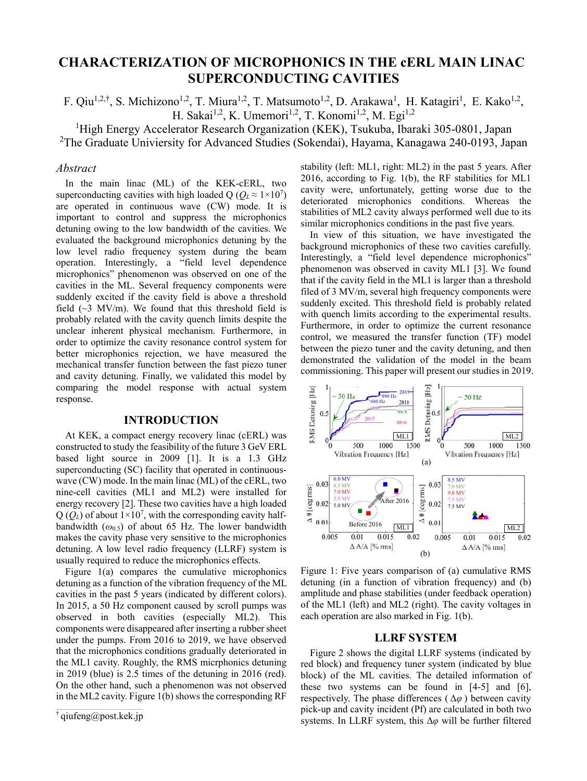# **CHARACTERIZATION OF MICROPHONICS IN THE cERL MAIN LINAC SUPERCONDUCTING CAVITIES**

F. Qiu<sup>1,2,†</sup>, S. Michizono<sup>1,2</sup>, T. Miura<sup>1,2</sup>, T. Matsumoto<sup>1,2</sup>, D. Arakawa<sup>1</sup>, H. Katagiri<sup>1</sup>, E. Kako<sup>1,2</sup>, H. Sakai<sup>1,2</sup>, K. Umemori<sup>1,2</sup>, T. Konomi<sup>1,2</sup>, M. Egi<sup>1,2</sup>

<sup>1</sup>High Energy Accelerator Research Organization (KEK), Tsukuba, Ibaraki 305-0801, Japan <sup>2</sup>The Graduate Univiersity for Advanced Studies (Sokendai), Hayama, Kanagawa 240-0193, Japan

#### *Abstract*

In the main linac (ML) of the KEK-cERL, two superconducting cavities with high loaded Q ( $Q_L \approx 1 \times 10^7$ ) are operated in continuous wave (CW) mode. It is important to control and suppress the microphonics detuning owing to the low bandwidth of the cavities. We evaluated the background microphonics detuning by the low level radio frequency system during the beam operation. Interestingly, a "field level dependence microphonics" phenomenon was observed on one of the cavities in the ML. Several frequency components were suddenly excited if the cavity field is above a threshold field  $(\sim 3 \text{ MV/m})$ . We found that this threshold field is probably related with the cavity quench limits despite the unclear inherent physical mechanism. Furthermore, in order to optimize the cavity resonance control system for better microphonics rejection, we have measured the mechanical transfer function between the fast piezo tuner and cavity detuning. Finally, we validated this model by comparing the model response with actual system response.

#### **INTRODUCTION**

At KEK, a compact energy recovery linac (cERL) was constructed to study the feasibility of the future 3 GeV ERL based light source in 2009 [1]. It is a 1.3 GHz superconducting (SC) facility that operated in continuouswave (CW) mode. In the main linac (ML) of the cERL, two nine-cell cavities (ML1 and ML2) were installed for energy recovery [2]. These two cavities have a high loaded  $Q(Q_L)$  of about  $1 \times 10^7$ , with the corresponding cavity halfbandwidth (*ω*0.5) of about 65 Hz. The lower bandwidth makes the cavity phase very sensitive to the microphonics detuning. A low level radio frequency (LLRF) system is usually required to reduce the microphonics effects.

Figure 1(a) compares the cumulative microphonics detuning as a function of the vibration frequency of the ML cavities in the past 5 years (indicated by different colors). In 2015, a 50 Hz component caused by scroll pumps was observed in both cavities (especially ML2). This components were disappeared after inserting a rubber sheet under the pumps. From 2016 to 2019, we have observed that the microphonics conditions gradually deteriorated in the ML1 cavity. Roughly, the RMS micrphonics detuning in 2019 (blue) is 2.5 times of the detuning in 2016 (red). On the other hand, such a phenomenon was not observed in the ML2 cavity. Figure 1(b) shows the corresponding RF

stability (left: ML1, right: ML2) in the past 5 years. After 2016, according to Fig. 1(b), the RF stabilities for ML1 cavity were, unfortunately, getting worse due to the deteriorated microphonics conditions. Whereas the stabilities of ML2 cavity always performed well due to its similar microphonics conditions in the past five years.

In view of this situation, we have investigated the background microphonics of these two cavities carefully. Interestingly, a "field level dependence microphonics" phenomenon was observed in cavity ML1 [3]. We found that if the cavity field in the ML1 is larger than a threshold filed of 3 MV/m, several high frequency components were suddenly excited. This threshold field is probably related with quench limits according to the experimental results. Furthermore, in order to optimize the current resonance control, we measured the transfer function (TF) model between the piezo tuner and the cavity detuning, and then demonstrated the validation of the model in the beam commissioning. This paper will present our studies in 2019.



Figure 1: Five years comparison of (a) cumulative RMS detuning (in a function of vibration frequency) and (b) amplitude and phase stabilities (under feedback operation) of the ML1 (left) and ML2 (right). The cavity voltages in each operation are also marked in Fig. 1(b).

#### **LLRF SYSTEM**

Figure 2 shows the digital LLRF systems (indicated by red block) and frequency tuner system (indicated by blue block) of the ML cavities. The detailed information of these two systems can be found in [4-5] and [6], respectively. The phase differences  $(\Delta \varphi)$  between cavity pick-up and cavity incident (Pf) are calculated in both two systems. In LLRF system, this Δ*φ* will be further filtered

<sup>†</sup> qiufeng@post.kek.jp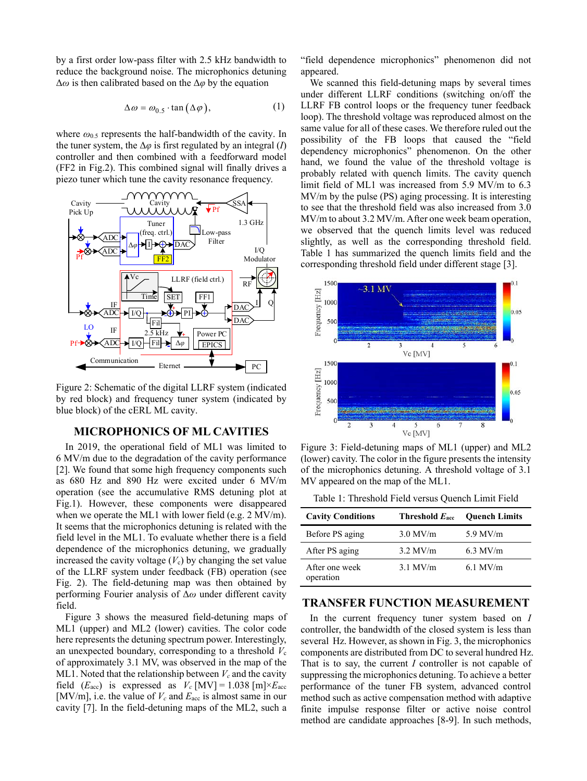by a first order low-pass filter with 2.5 kHz bandwidth to reduce the background noise. The microphonics detuning Δ*ω* is then calibrated based on the Δ*φ* by the equation

$$
\Delta \omega = \omega_{0.5} \cdot \tan(\Delta \varphi), \tag{1}
$$

where *ω*0.5 represents the half-bandwidth of the cavity. In the tuner system, the  $\Delta\varphi$  is first regulated by an integral (*I*) controller and then combined with a feedforward model (FF2 in Fig.2). This combined signal will finally drives a piezo tuner which tune the cavity resonance frequency.



Figure 2: Schematic of the digital LLRF system (indicated by red block) and frequency tuner system (indicated by blue block) of the cERL ML cavity.

## **MICROPHONICS OF ML CAVITIES**

In 2019, the operational field of ML1 was limited to 6 MV/m due to the degradation of the cavity performance [2]. We found that some high frequency components such as 680 Hz and 890 Hz were excited under 6 MV/m operation (see the accumulative RMS detuning plot at Fig.1). However, these components were disappeared when we operate the ML1 with lower field (e.g. 2 MV/m). It seems that the microphonics detuning is related with the field level in the ML1. To evaluate whether there is a field dependence of the microphonics detuning, we gradually increased the cavity voltage  $(V_c)$  by changing the set value of the LLRF system under feedback (FB) operation (see Fig. 2). The field-detuning map was then obtained by performing Fourier analysis of Δ*ω* under different cavity field.

Figure 3 shows the measured field-detuning maps of ML1 (upper) and ML2 (lower) cavities. The color code here represents the detuning spectrum power. Interestingly, an unexpected boundary, corresponding to a threshold  $V_c$ of approximately 3.1 MV, was observed in the map of the ML1. Noted that the relationship between  $V_c$  and the cavity field  $(E_{\text{acc}})$  is expressed as  $V_c$  [MV] = 1.038 [m] $\times E_{\text{acc}}$ [MV/m], i.e. the value of  $V_c$  and  $E_{\text{acc}}$  is almost same in our cavity [7]. In the field-detuning maps of the ML2, such a

"field dependence microphonics" phenomenon did not appeared.

We scanned this field-detuning maps by several times under different LLRF conditions (switching on/off the LLRF FB control loops or the frequency tuner feedback loop). The threshold voltage was reproduced almost on the same value for all of these cases. We therefore ruled out the possibility of the FB loops that caused the "field dependency microphonics" phenomenon. On the other hand, we found the value of the threshold voltage is probably related with quench limits. The cavity quench limit field of ML1 was increased from 5.9 MV/m to 6.3 MV/m by the pulse (PS) aging processing. It is interesting to see that the threshold field was also increased from 3.0 MV/m to about 3.2 MV/m. After one week beam operation, we observed that the quench limits level was reduced slightly, as well as the corresponding threshold field. Table 1 has summarized the quench limits field and the corresponding threshold field under different stage [3].



Figure 3: Field-detuning maps of ML1 (upper) and ML2 (lower) cavity. The color in the figure presents the intensity of the microphonics detuning. A threshold voltage of 3.1 MV appeared on the map of the ML1.

Table 1: Threshold Field versus Quench Limit Field

| <b>Cavity Conditions</b>    | Threshold $E_{\text{acc}}$ | <b>Quench Limits</b> |
|-----------------------------|----------------------------|----------------------|
| Before PS aging             | $3.0$ MV/m                 | $5.9$ MV/m           |
| After PS aging              | $3.2$ MV/m                 | $6.3$ MV/m           |
| After one week<br>operation | $3.1$ MV/m                 | $6.1$ MV/m           |

### **TRANSFER FUNCTION MEASUREMENT**

In the current frequency tuner system based on *I* controller, the bandwidth of the closed system is less than several Hz. However, as shown in Fig. 3, the microphonics components are distributed from DC to several hundred Hz. That is to say, the current *I* controller is not capable of suppressing the microphonics detuning. To achieve a better performance of the tuner FB system, advanced control method such as active compensation method with adaptive finite impulse response filter or active noise control method are candidate approaches [8-9]. In such methods,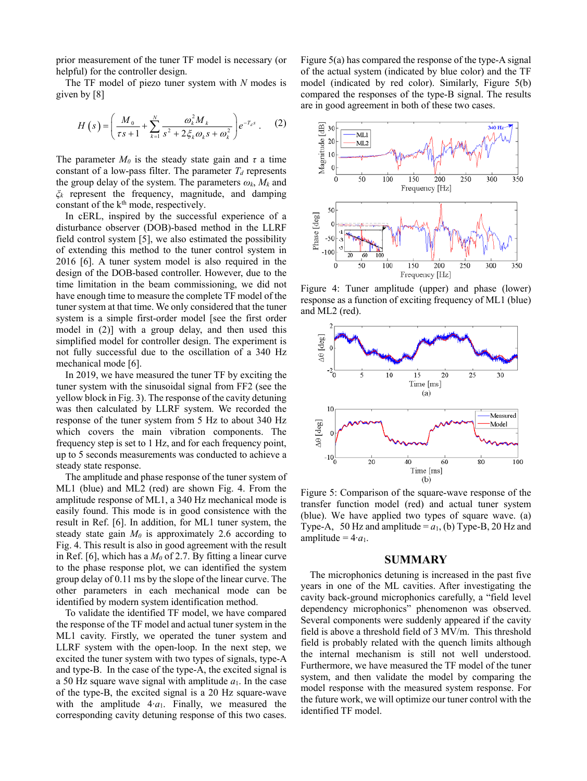prior measurement of the tuner TF model is necessary (or helpful) for the controller design.

The TF model of piezo tuner system with *N* modes is given by [8]

$$
H(s) = \left(\frac{M_0}{\tau s + 1} + \sum_{k=1}^{N} \frac{\omega_k^2 M_k}{s^2 + 2\xi_k \omega_k s + \omega_k^2}\right) e^{-T_d s} . \tag{2}
$$

The parameter  $M_0$  is the steady state gain and  $\tau$  a time constant of a low-pass filter. The parameter  $T_d$  represents the group delay of the system. The parameters  $\omega_k$ ,  $M_k$  and *ξk* represent the frequency, magnitude, and damping constant of the  $k<sup>th</sup>$  mode, respectively.

In cERL, inspired by the successful experience of a disturbance observer (DOB)-based method in the LLRF field control system [5], we also estimated the possibility of extending this method to the tuner control system in 2016 [6]. A tuner system model is also required in the design of the DOB-based controller. However, due to the time limitation in the beam commissioning, we did not have enough time to measure the complete TF model of the tuner system at that time. We only considered that the tuner system is a simple first-order model [see the first order model in (2)] with a group delay, and then used this simplified model for controller design. The experiment is not fully successful due to the oscillation of a 340 Hz mechanical mode [6].

In 2019, we have measured the tuner TF by exciting the tuner system with the sinusoidal signal from FF2 (see the yellow block in Fig. 3). The response of the cavity detuning was then calculated by LLRF system. We recorded the response of the tuner system from 5 Hz to about 340 Hz which covers the main vibration components. The frequency step is set to 1 Hz, and for each frequency point, up to 5 seconds measurements was conducted to achieve a steady state response.

The amplitude and phase response of the tuner system of ML1 (blue) and ML2 (red) are shown Fig. 4. From the amplitude response of ML1, a 340 Hz mechanical mode is easily found. This mode is in good consistence with the result in Ref. [6]. In addition, for ML1 tuner system, the steady state gain  $M_0$  is approximately 2.6 according to Fig. 4. This result is also in good agreement with the result in Ref. [6], which has a  $M_0$  of 2.7. By fitting a linear curve to the phase response plot, we can identified the system group delay of 0.11 ms by the slope of the linear curve. The other parameters in each mechanical mode can be identified by modern system identification method.

To validate the identified TF model, we have compared the response of the TF model and actual tuner system in the ML1 cavity. Firstly, we operated the tuner system and LLRF system with the open-loop. In the next step, we excited the tuner system with two types of signals, type-A and type-B. In the case of the type-A, the excited signal is a 50 Hz square wave signal with amplitude  $a_1$ . In the case of the type-B, the excited signal is a 20 Hz square-wave with the amplitude 4⋅*a*<sub>1</sub>. Finally, we measured the corresponding cavity detuning response of this two cases.

Figure 5(a) has compared the response of the type-A signal of the actual system (indicated by blue color) and the TF model (indicated by red color). Similarly, Figure 5(b) compared the responses of the type-B signal. The results are in good agreement in both of these two cases.



Figure 4: Tuner amplitude (upper) and phase (lower) response as a function of exciting frequency of ML1 (blue) and ML2 (red).



Figure 5: Comparison of the square-wave response of the transfer function model (red) and actual tuner system (blue). We have applied two types of square wave. (a) Type-A, 50 Hz and amplitude =  $a_1$ , (b) Type-B, 20 Hz and amplitude = 4∙*a*1.

## **SUMMARY**

The microphonics detuning is increased in the past five years in one of the ML cavities. After investigating the cavity back-ground microphonics carefully, a "field level dependency microphonics" phenomenon was observed. Several components were suddenly appeared if the cavity field is above a threshold field of 3 MV/m. This threshold field is probably related with the quench limits although the internal mechanism is still not well understood. Furthermore, we have measured the TF model of the tuner system, and then validate the model by comparing the model response with the measured system response. For the future work, we will optimize our tuner control with the identified TF model.